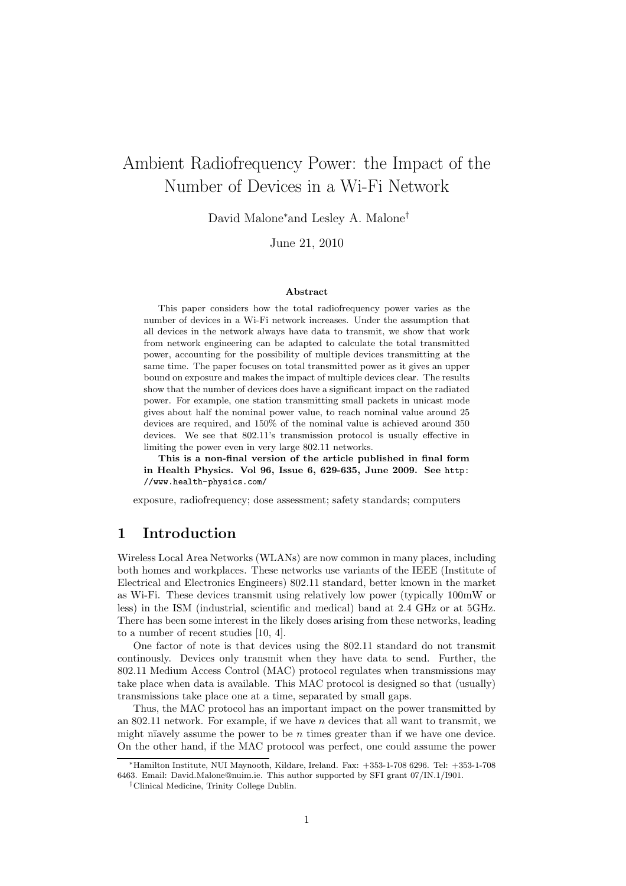# Ambient Radiofrequency Power: the Impact of the Number of Devices in a Wi-Fi Network

David Malone<sup>∗</sup>and Lesley A. Malone†

June 21, 2010

#### Abstract

This paper considers how the total radiofrequency power varies as the number of devices in a Wi-Fi network increases. Under the assumption that all devices in the network always have data to transmit, we show that work from network engineering can be adapted to calculate the total transmitted power, accounting for the possibility of multiple devices transmitting at the same time. The paper focuses on total transmitted power as it gives an upper bound on exposure and makes the impact of multiple devices clear. The results show that the number of devices does have a significant impact on the radiated power. For example, one station transmitting small packets in unicast mode gives about half the nominal power value, to reach nominal value around 25 devices are required, and 150% of the nominal value is achieved around 350 devices. We see that 802.11's transmission protocol is usually effective in limiting the power even in very large 802.11 networks.

This is a non-final version of the article published in final form in Health Physics. Vol 96, Issue 6, 629-635, June 2009. See http: //www.health-physics.com/

exposure, radiofrequency; dose assessment; safety standards; computers

### 1 Introduction

Wireless Local Area Networks (WLANs) are now common in many places, including both homes and workplaces. These networks use variants of the IEEE (Institute of Electrical and Electronics Engineers) 802.11 standard, better known in the market as Wi-Fi. These devices transmit using relatively low power (typically 100mW or less) in the ISM (industrial, scientific and medical) band at 2.4 GHz or at 5GHz. There has been some interest in the likely doses arising from these networks, leading to a number of recent studies [10, 4].

One factor of note is that devices using the 802.11 standard do not transmit continously. Devices only transmit when they have data to send. Further, the 802.11 Medium Access Control (MAC) protocol regulates when transmissions may take place when data is available. This MAC protocol is designed so that (usually) transmissions take place one at a time, separated by small gaps.

Thus, the MAC protocol has an important impact on the power transmitted by an  $802.11$  network. For example, if we have n devices that all want to transmit, we might nüavely assume the power to be  $n$  times greater than if we have one device. On the other hand, if the MAC protocol was perfect, one could assume the power

<sup>∗</sup>Hamilton Institute, NUI Maynooth, Kildare, Ireland. Fax: +353-1-708 6296. Tel: +353-1-708 6463. Email: David.Malone@nuim.ie. This author supported by SFI grant 07/IN.1/I901.

<sup>†</sup>Clinical Medicine, Trinity College Dublin.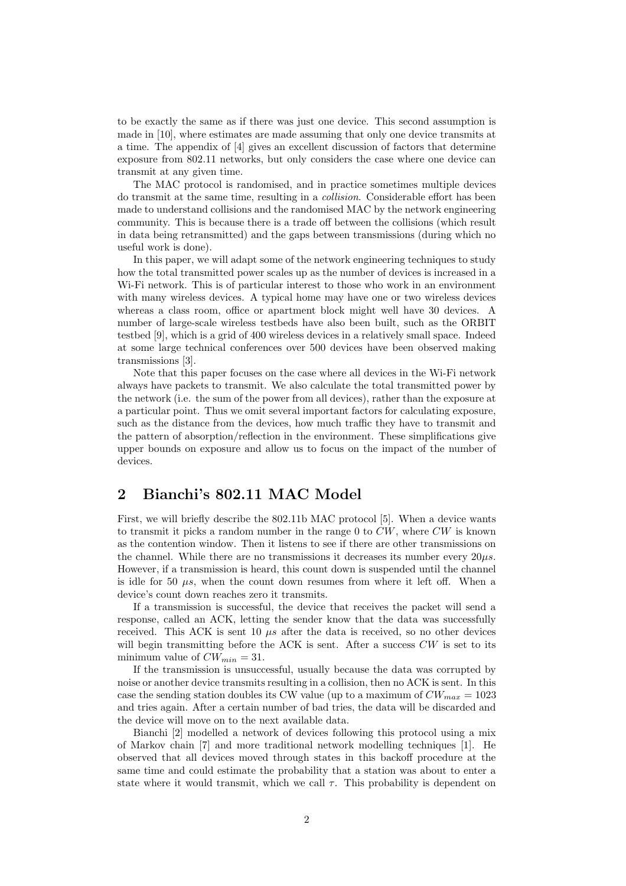to be exactly the same as if there was just one device. This second assumption is made in [10], where estimates are made assuming that only one device transmits at a time. The appendix of [4] gives an excellent discussion of factors that determine exposure from 802.11 networks, but only considers the case where one device can transmit at any given time.

The MAC protocol is randomised, and in practice sometimes multiple devices do transmit at the same time, resulting in a collision. Considerable effort has been made to understand collisions and the randomised MAC by the network engineering community. This is because there is a trade off between the collisions (which result in data being retransmitted) and the gaps between transmissions (during which no useful work is done).

In this paper, we will adapt some of the network engineering techniques to study how the total transmitted power scales up as the number of devices is increased in a Wi-Fi network. This is of particular interest to those who work in an environment with many wireless devices. A typical home may have one or two wireless devices whereas a class room, office or apartment block might well have 30 devices. A number of large-scale wireless testbeds have also been built, such as the ORBIT testbed [9], which is a grid of 400 wireless devices in a relatively small space. Indeed at some large technical conferences over 500 devices have been observed making transmissions [3].

Note that this paper focuses on the case where all devices in the Wi-Fi network always have packets to transmit. We also calculate the total transmitted power by the network (i.e. the sum of the power from all devices), rather than the exposure at a particular point. Thus we omit several important factors for calculating exposure, such as the distance from the devices, how much traffic they have to transmit and the pattern of absorption/reflection in the environment. These simplifications give upper bounds on exposure and allow us to focus on the impact of the number of devices.

## 2 Bianchi's 802.11 MAC Model

First, we will briefly describe the 802.11b MAC protocol [5]. When a device wants to transmit it picks a random number in the range  $0$  to  $CW$ , where  $CW$  is known as the contention window. Then it listens to see if there are other transmissions on the channel. While there are no transmissions it decreases its number every  $20\mu s$ . However, if a transmission is heard, this count down is suspended until the channel is idle for 50  $\mu$ s, when the count down resumes from where it left off. When a device's count down reaches zero it transmits.

If a transmission is successful, the device that receives the packet will send a response, called an ACK, letting the sender know that the data was successfully received. This ACK is sent 10  $\mu s$  after the data is received, so no other devices will begin transmitting before the ACK is sent. After a success  $CW$  is set to its minimum value of  $CW_{min} = 31$ .

If the transmission is unsuccessful, usually because the data was corrupted by noise or another device transmits resulting in a collision, then no ACK is sent. In this case the sending station doubles its CW value (up to a maximum of  $CW_{max} = 1023$ ) and tries again. After a certain number of bad tries, the data will be discarded and the device will move on to the next available data.

Bianchi [2] modelled a network of devices following this protocol using a mix of Markov chain [7] and more traditional network modelling techniques [1]. He observed that all devices moved through states in this backoff procedure at the same time and could estimate the probability that a station was about to enter a state where it would transmit, which we call  $\tau$ . This probability is dependent on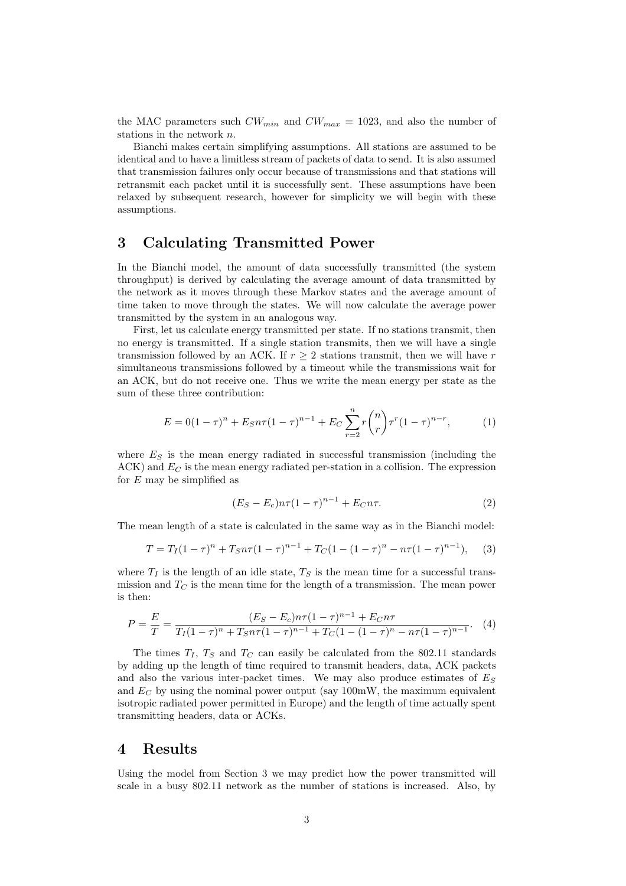the MAC parameters such  $CW_{min}$  and  $CW_{max} = 1023$ , and also the number of stations in the network n.

Bianchi makes certain simplifying assumptions. All stations are assumed to be identical and to have a limitless stream of packets of data to send. It is also assumed that transmission failures only occur because of transmissions and that stations will retransmit each packet until it is successfully sent. These assumptions have been relaxed by subsequent research, however for simplicity we will begin with these assumptions.

#### 3 Calculating Transmitted Power

In the Bianchi model, the amount of data successfully transmitted (the system throughput) is derived by calculating the average amount of data transmitted by the network as it moves through these Markov states and the average amount of time taken to move through the states. We will now calculate the average power transmitted by the system in an analogous way.

First, let us calculate energy transmitted per state. If no stations transmit, then no energy is transmitted. If a single station transmits, then we will have a single transmission followed by an ACK. If  $r \geq 2$  stations transmit, then we will have r simultaneous transmissions followed by a timeout while the transmissions wait for an ACK, but do not receive one. Thus we write the mean energy per state as the sum of these three contribution:

$$
E = 0(1 - \tau)^n + E_S n \tau (1 - \tau)^{n-1} + E_C \sum_{r=2}^n r \binom{n}{r} \tau^r (1 - \tau)^{n-r}, \tag{1}
$$

where  $E<sub>S</sub>$  is the mean energy radiated in successful transmission (including the  $ACK$ ) and  $E_C$  is the mean energy radiated per-station in a collision. The expression for  $E$  may be simplified as

$$
(E_S - E_c)n\tau (1 - \tau)^{n-1} + E_C n\tau.
$$
 (2)

The mean length of a state is calculated in the same way as in the Bianchi model:

$$
T = T_I(1 - \tau)^n + T_S n \tau (1 - \tau)^{n-1} + T_C (1 - (1 - \tau)^n - n \tau (1 - \tau)^{n-1}), \quad (3)
$$

where  $T_I$  is the length of an idle state,  $T_S$  is the mean time for a successful transmission and  $T_C$  is the mean time for the length of a transmission. The mean power is then:

$$
P = \frac{E}{T} = \frac{(E_S - E_c)n\tau (1 - \tau)^{n-1} + E_C n\tau}{T_I (1 - \tau)^n + T_S n\tau (1 - \tau)^{n-1} + T_C (1 - (1 - \tau)^n - n\tau (1 - \tau)^{n-1}}.
$$
 (4)

The times  $T_I$ ,  $T_S$  and  $T_C$  can easily be calculated from the 802.11 standards by adding up the length of time required to transmit headers, data, ACK packets and also the various inter-packet times. We may also produce estimates of  $E<sub>S</sub>$ and  $E_C$  by using the nominal power output (say 100mW, the maximum equivalent isotropic radiated power permitted in Europe) and the length of time actually spent transmitting headers, data or ACKs.

#### 4 Results

Using the model from Section 3 we may predict how the power transmitted will scale in a busy 802.11 network as the number of stations is increased. Also, by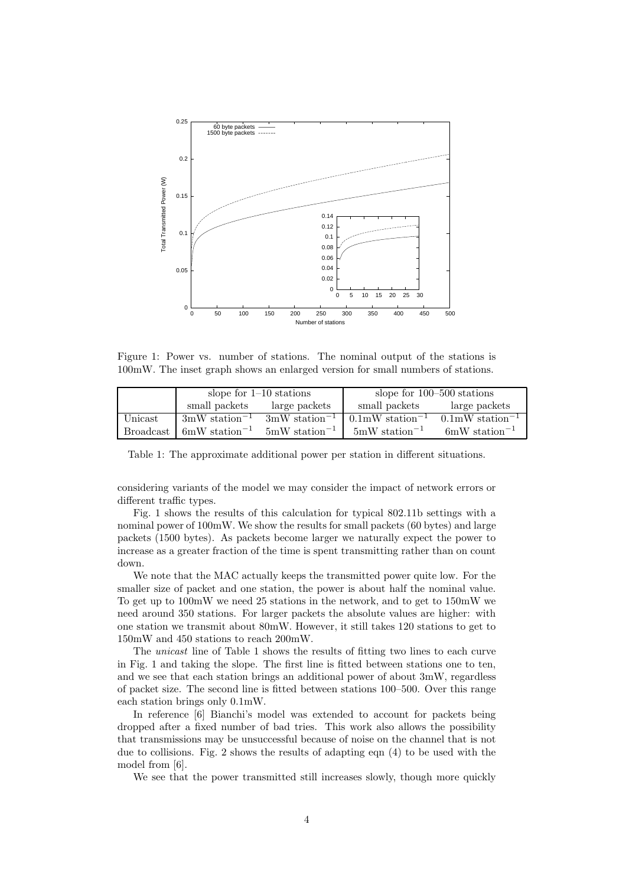

Figure 1: Power vs. number of stations. The nominal output of the stations is 100mW. The inset graph shows an enlarged version for small numbers of stations.

|                  | slope for $1-10$ stations           |                                     | slope for $100-500$ stations          |                                       |
|------------------|-------------------------------------|-------------------------------------|---------------------------------------|---------------------------------------|
|                  | small packets                       | large packets                       | small packets                         | large packets                         |
| Unicast          | $3 \text{mW}$ station <sup>-1</sup> | $3 \text{mW}$ station <sup>-1</sup> | $0.1 \text{mW}$ station <sup>-1</sup> | $0.1 \text{mW}$ station <sup>-1</sup> |
| <b>Broadcast</b> | $6 \text{mW}$ station <sup>-1</sup> | $5mW$ station <sup>-1</sup>         | $5mW$ station <sup>-1</sup>           | $6 \text{mW}$ station <sup>-1</sup>   |

Table 1: The approximate additional power per station in different situations.

considering variants of the model we may consider the impact of network errors or different traffic types.

Fig. 1 shows the results of this calculation for typical 802.11b settings with a nominal power of 100mW. We show the results for small packets (60 bytes) and large packets (1500 bytes). As packets become larger we naturally expect the power to increase as a greater fraction of the time is spent transmitting rather than on count down.

We note that the MAC actually keeps the transmitted power quite low. For the smaller size of packet and one station, the power is about half the nominal value. To get up to 100mW we need 25 stations in the network, and to get to 150mW we need around 350 stations. For larger packets the absolute values are higher: with one station we transmit about 80mW. However, it still takes 120 stations to get to 150mW and 450 stations to reach 200mW.

The unicast line of Table 1 shows the results of fitting two lines to each curve in Fig. 1 and taking the slope. The first line is fitted between stations one to ten, and we see that each station brings an additional power of about 3mW, regardless of packet size. The second line is fitted between stations 100–500. Over this range each station brings only 0.1mW.

In reference [6] Bianchi's model was extended to account for packets being dropped after a fixed number of bad tries. This work also allows the possibility that transmissions may be unsuccessful because of noise on the channel that is not due to collisions. Fig. 2 shows the results of adapting eqn (4) to be used with the model from [6].

We see that the power transmitted still increases slowly, though more quickly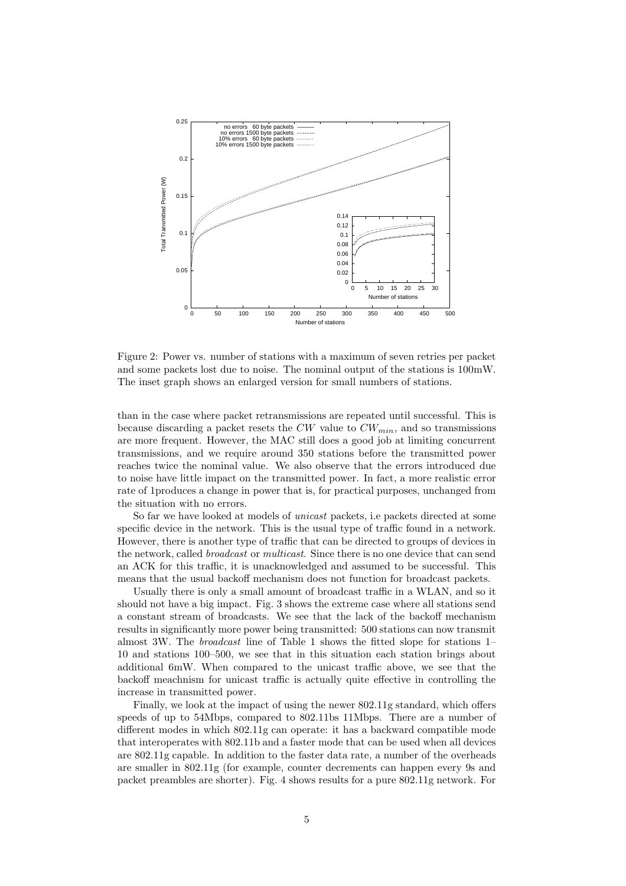

Figure 2: Power vs. number of stations with a maximum of seven retries per packet and some packets lost due to noise. The nominal output of the stations is 100mW. The inset graph shows an enlarged version for small numbers of stations.

than in the case where packet retransmissions are repeated until successful. This is because discarding a packet resets the  $CW$  value to  $CW_{min}$ , and so transmissions are more frequent. However, the MAC still does a good job at limiting concurrent transmissions, and we require around 350 stations before the transmitted power reaches twice the nominal value. We also observe that the errors introduced due to noise have little impact on the transmitted power. In fact, a more realistic error rate of 1produces a change in power that is, for practical purposes, unchanged from the situation with no errors.

So far we have looked at models of unicast packets, i.e packets directed at some specific device in the network. This is the usual type of traffic found in a network. However, there is another type of traffic that can be directed to groups of devices in the network, called broadcast or multicast. Since there is no one device that can send an ACK for this traffic, it is unacknowledged and assumed to be successful. This means that the usual backoff mechanism does not function for broadcast packets.

Usually there is only a small amount of broadcast traffic in a WLAN, and so it should not have a big impact. Fig. 3 shows the extreme case where all stations send a constant stream of broadcasts. We see that the lack of the backoff mechanism results in significantly more power being transmitted: 500 stations can now transmit almost 3W. The broadcast line of Table 1 shows the fitted slope for stations 1– 10 and stations 100–500, we see that in this situation each station brings about additional 6mW. When compared to the unicast traffic above, we see that the backoff meachnism for unicast traffic is actually quite effective in controlling the increase in transmitted power.

Finally, we look at the impact of using the newer 802.11g standard, which offers speeds of up to 54Mbps, compared to 802.11bs 11Mbps. There are a number of different modes in which 802.11g can operate: it has a backward compatible mode that interoperates with 802.11b and a faster mode that can be used when all devices are 802.11g capable. In addition to the faster data rate, a number of the overheads are smaller in 802.11g (for example, counter decrements can happen every 9s and packet preambles are shorter). Fig. 4 shows results for a pure 802.11g network. For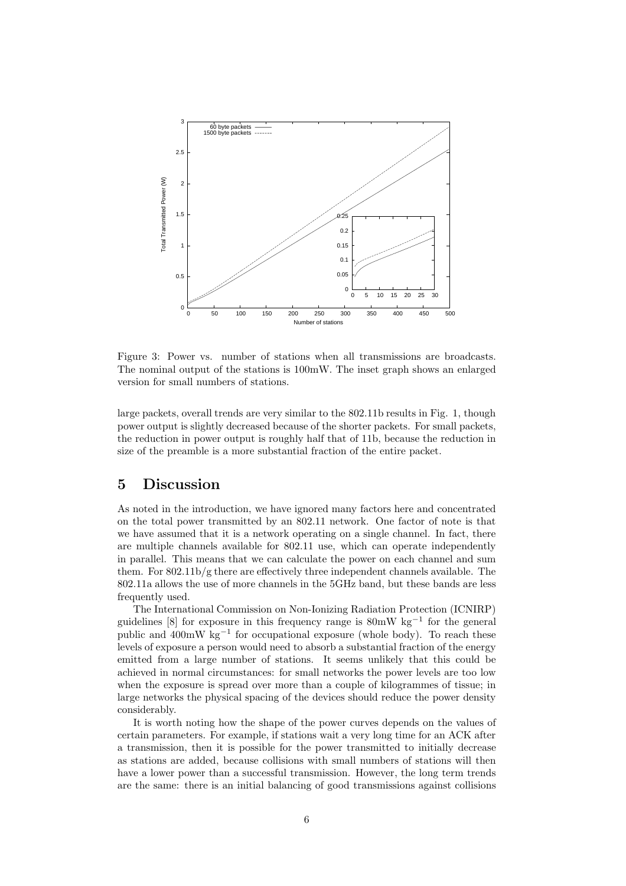

Figure 3: Power vs. number of stations when all transmissions are broadcasts. The nominal output of the stations is 100mW. The inset graph shows an enlarged version for small numbers of stations.

large packets, overall trends are very similar to the 802.11b results in Fig. 1, though power output is slightly decreased because of the shorter packets. For small packets, the reduction in power output is roughly half that of 11b, because the reduction in size of the preamble is a more substantial fraction of the entire packet.

### 5 Discussion

As noted in the introduction, we have ignored many factors here and concentrated on the total power transmitted by an 802.11 network. One factor of note is that we have assumed that it is a network operating on a single channel. In fact, there are multiple channels available for 802.11 use, which can operate independently in parallel. This means that we can calculate the power on each channel and sum them. For 802.11b/g there are effectively three independent channels available. The 802.11a allows the use of more channels in the 5GHz band, but these bands are less frequently used.

The International Commission on Non-Ionizing Radiation Protection (ICNIRP) guidelines [8] for exposure in this frequency range is 80mW kg<sup>-1</sup> for the general public and 400mW kg<sup>-1</sup> for occupational exposure (whole body). To reach these levels of exposure a person would need to absorb a substantial fraction of the energy emitted from a large number of stations. It seems unlikely that this could be achieved in normal circumstances: for small networks the power levels are too low when the exposure is spread over more than a couple of kilogrammes of tissue; in large networks the physical spacing of the devices should reduce the power density considerably.

It is worth noting how the shape of the power curves depends on the values of certain parameters. For example, if stations wait a very long time for an ACK after a transmission, then it is possible for the power transmitted to initially decrease as stations are added, because collisions with small numbers of stations will then have a lower power than a successful transmission. However, the long term trends are the same: there is an initial balancing of good transmissions against collisions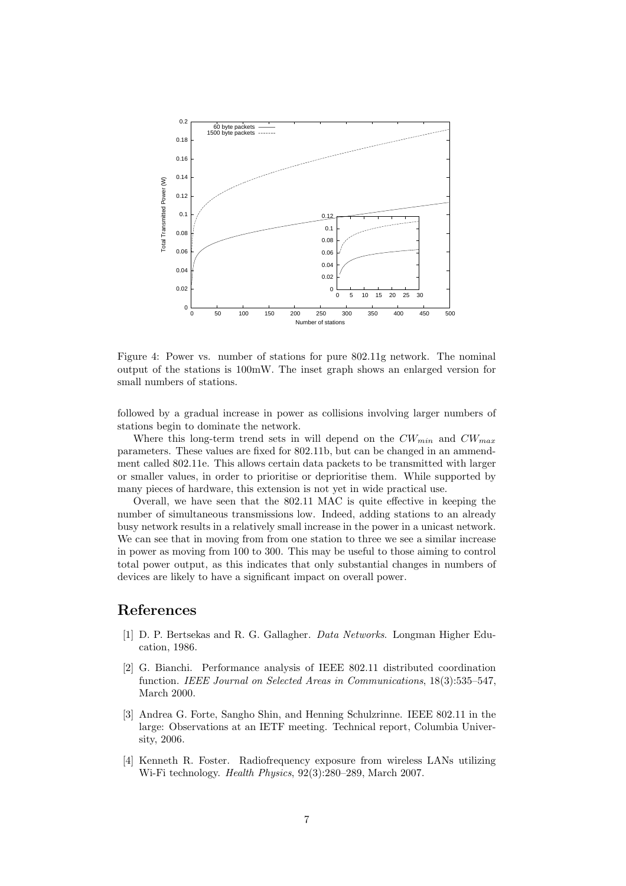

Figure 4: Power vs. number of stations for pure 802.11g network. The nominal output of the stations is 100mW. The inset graph shows an enlarged version for small numbers of stations.

followed by a gradual increase in power as collisions involving larger numbers of stations begin to dominate the network.

Where this long-term trend sets in will depend on the  $CW_{min}$  and  $CW_{max}$ parameters. These values are fixed for 802.11b, but can be changed in an ammendment called 802.11e. This allows certain data packets to be transmitted with larger or smaller values, in order to prioritise or deprioritise them. While supported by many pieces of hardware, this extension is not yet in wide practical use.

Overall, we have seen that the 802.11 MAC is quite effective in keeping the number of simultaneous transmissions low. Indeed, adding stations to an already busy network results in a relatively small increase in the power in a unicast network. We can see that in moving from from one station to three we see a similar increase in power as moving from 100 to 300. This may be useful to those aiming to control total power output, as this indicates that only substantial changes in numbers of devices are likely to have a significant impact on overall power.

#### References

- [1] D. P. Bertsekas and R. G. Gallagher. Data Networks. Longman Higher Education, 1986.
- [2] G. Bianchi. Performance analysis of IEEE 802.11 distributed coordination function. IEEE Journal on Selected Areas in Communications, 18(3):535–547, March 2000.
- [3] Andrea G. Forte, Sangho Shin, and Henning Schulzrinne. IEEE 802.11 in the large: Observations at an IETF meeting. Technical report, Columbia University, 2006.
- [4] Kenneth R. Foster. Radiofrequency exposure from wireless LANs utilizing Wi-Fi technology. Health Physics, 92(3):280–289, March 2007.